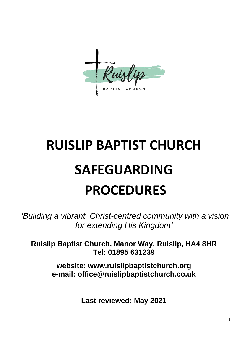

# **RUISLIP BAPTIST CHURCH SAFEGUARDING PROCEDURES**

*'Building a vibrant, Christ-centred community with a vision for extending His Kingdom'*

**Ruislip Baptist Church, Manor Way, Ruislip, HA4 8HR Tel: 01895 631239**

> **website: www.ruislipbaptistchurch.org e-mail: office@ruislipbaptistchurch.co.uk**

> > **Last reviewed: May 2021**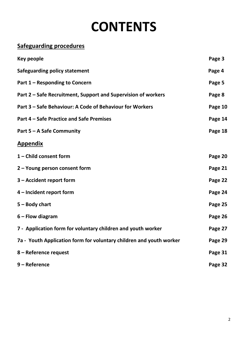# **CONTENTS**

# **Safeguarding procedures**

| Key people                                                          | Page 3  |
|---------------------------------------------------------------------|---------|
| <b>Safeguarding policy statement</b>                                | Page 4  |
| Part 1 – Responding to Concern                                      | Page 5  |
| Part 2 – Safe Recruitment, Support and Supervision of workers       | Page 8  |
| Part 3 – Safe Behaviour: A Code of Behaviour for Workers            | Page 10 |
| Part 4 – Safe Practice and Safe Premises                            | Page 14 |
| Part 5 – A Safe Community                                           | Page 18 |
| <b>Appendix</b>                                                     |         |
| 1 - Child consent form                                              | Page 20 |
| 2 - Young person consent form                                       | Page 21 |
| 3 – Accident report form                                            | Page 22 |
| 4 – Incident report form                                            | Page 24 |
| $5 - Body chart$                                                    | Page 25 |
| $6$ – Flow diagram                                                  | Page 26 |
| 7 - Application form for voluntary children and youth worker        | Page 27 |
| 7a - Youth Application form for voluntary children and youth worker | Page 29 |
| 8 - Reference request                                               | Page 31 |
| 9 - Reference                                                       | Page 32 |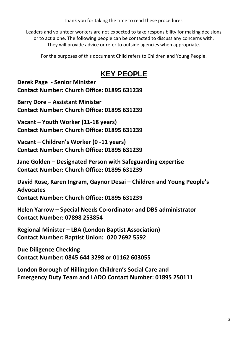Thank you for taking the time to read these procedures.

Leaders and volunteer workers are not expected to take responsibility for making decisions or to act alone. The following people can be contacted to discuss any concerns with. They will provide advice or refer to outside agencies when appropriate.

For the purposes of this document Child refers to Children and Young People.

# **KEY PEOPLE**

**Derek Page - Senior Minister Contact Number: Church Office: 01895 631239**

**Barry Dore – Assistant Minister Contact Number: Church Office: 01895 631239**

**Vacant – Youth Worker (11-18 years) Contact Number: Church Office: 01895 631239**

**Vacant – Children's Worker (0 -11 years) Contact Number: Church Office: 01895 631239**

**Jane Golden – Designated Person with Safeguarding expertise Contact Number: Church Office: 01895 631239**

**David Rose, Karen Ingram, Gaynor Desai – Children and Young People's Advocates Contact Number: Church Office: 01895 631239**

**Helen Yarrow – Special Needs Co-ordinator and DBS administrator Contact Number: 07898 253854**

**Regional Minister – LBA (London Baptist Association) Contact Number: Baptist Union: 020 7692 5592**

**Due Diligence Checking Contact Number: 0845 644 3298 or 01162 603055**

**London Borough of Hillingdon Children's Social Care and Emergency Duty Team and LADO Contact Number: 01895 250111**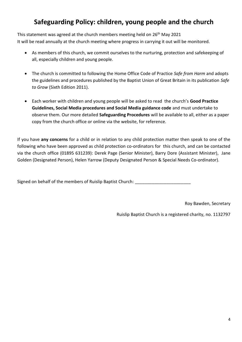# **Safeguarding Policy: children, young people and the church**

This statement was agreed at the church members meeting held on 26<sup>th</sup> May 2021 It will be read annually at the church meeting where progress in carrying it out will be monitored.

- As members of this church, we commit ourselves to the nurturing, protection and safekeeping of all, especially children and young people.
- The church is committed to following the Home Office Code of Practice *Safe from Harm* and adopts the guidelines and procedures published by the Baptist Union of Great Britain in its publication *Safe to Grow* (Sixth Edition 2011).
- Each worker with children and young people will be asked to read the church's **Good Practice Guidelines, Social Media procedures and Social Media guidance code** and must undertake to observe them. Our more detailed **Safeguarding Procedures** will be available to all, either as a paper copy from the church office or online via the website, for reference.

If you have **any concerns** for a child or in relation to any child protection matter then speak to one of the following who have been approved as child protection co-ordinators for this church, and can be contacted via the church office (01895 631239): Derek Page (Senior Minister), Barry Dore (Assistant Minister), Jane Golden (Designated Person), Helen Yarrow (Deputy Designated Person & Special Needs Co-ordinator).

Signed on behalf of the members of Ruislip Baptist Church:

Roy Bawden, Secretary

Ruislip Baptist Church is a registered charity, no. 1132797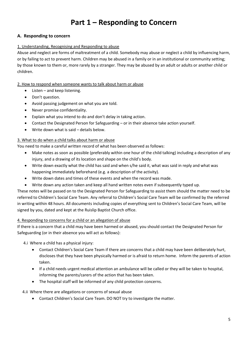# **Part 1 – Responding to Concern**

#### **A. Responding to concern**

#### 1. Understanding, Recognising and Responding to abuse

Abuse and neglect are forms of maltreatment of a child. Somebody may abuse or neglect a child by influencing harm, or by failing to act to prevent harm. Children may be abused in a family or in an institutional or community setting; by those known to them or, more rarely by a stranger. They may be abused by an adult or adults or another child or children.

2. How to respond when someone wants to talk about harm or abuse

- Listen and keep listening.
- Don't question.
- Avoid passing judgement on what you are told.
- Never promise confidentiality.
- Explain what you intend to do and don't delay in taking action.
- Contact the Designated Person for Safeguarding or in their absence take action yourself.
- Write down what is said details below.

#### 3. What to do when a child talks about harm or abuse

You need to make a careful written record of what has been observed as follows:

- Make notes as soon as possible (preferably within one hour of the child talking) including a description of any injury, and a drawing of its location and shape on the child's body.
- Write down exactly what the child has said and when s/he said it, what was said in reply and what was happening immediately beforehand (e.g. a description of the activity).
- Write down dates and times of these events and when the record was made.
- Write down any action taken and keep all hand written notes even if subsequently typed up.

These notes will be passed on to the Designated Person for Safeguarding to assist them should the matter need to be referred to Children's Social Care Team. Any referral to Children's Social Care Team will be confirmed by the referred in writing within 48 hours. All documents including copies of everything sent to Children's Social Care Team, will be signed by you, dated and kept at the Ruislip Baptist Church office.

#### 4. Responding to concerns for a child or an allegation of abuse

If there is a concern that a child may have been harmed or abused, you should contact the Designated Person for Safeguarding (or in their absence you will act as follows):

4.i Where a child has a physical injury:

- Contact Children's Social Care Team if there are concerns that a child may have been deliberately hurt, discloses that they have been physically harmed or is afraid to return home. Inform the parents of action taken.
- If a child needs urgent medical attention an ambulance will be called or they will be taken to hospital, informing the parents/carers of the action that has been taken.
- The hospital staff will be informed of any child protection concerns.

#### 4.ii Where there are allegations or concerns of sexual abuse

• Contact Children's Social Care Team. DO NOT try to investigate the matter.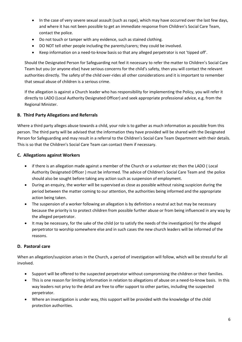- In the case of very severe sexual assault (such as rape), which may have occurred over the last few days, and where it has not been possible to get an immediate response from Children's Social Care Team, contact the police.
- Do not touch or tamper with any evidence, such as stained clothing.
- DO NOT tell other people including the parents/carers; they could be involved.
- Keep information on a need-to-know basis so that any alleged perpetrator is not 'tipped off'.

Should the Designated Person for Safeguarding not feel it necessary to refer the matter to Children's Social Care Team but you (or anyone else) have serious concerns for the child's safety, then you will contact the relevant authorities directly. The safety of the child over-rides all other considerations and it is important to remember that sexual abuse of children is a serious crime.

If the allegation is against a Church leader who has responsibility for implementing the Policy, you will refer it directly to LADO (Local Authority Designated Officer) and seek appropriate professional advice, e.g. from the Regional Minister.

#### **B. Third Party Allegations and Referrals**

Where a third party alleges abuse towards a child, your role is to gather as much information as possible from this person. The third party will be advised that the information they have provided will be shared with the Designated Person for Safeguarding and may result in a referral to the Children's Social Care Team Department with their details. This is so that the Children's Social Care Team can contact them if necessary.

#### **C. Allegations against Workers**

- if there is an allegation made against a member of the Church or a volunteer etc then the LADO ( Local Authority Designated Officer ) must be informed. The advice of Children's Social Care Team and the police should also be sought before taking any action such as suspension of employment.
- During an enquiry, the worker will be supervised as close as possible without raising suspicion during the period between the matter coming to our attention, the authorities being informed and the appropriate action being taken.
- The suspension of a worker following an allegation is by definition a neutral act but may be necessary because the priority is to protect children from possible further abuse or from being influenced in any way by the alleged perpetrator.
- It may be necessary, for the sake of the child (or to satisfy the needs of the investigation) for the alleged perpetrator to worship somewhere else and in such cases the new church leaders will be informed of the reasons.

#### **D. Pastoral care**

When an allegation/suspicion arises in the Church, a period of investigation will follow, which will be stressful for all involved.

- Support will be offered to the suspected perpetrator without compromising the children or their families.
- This is one reason for limiting information in relation to allegations of abuse on a need-to-know basis. In this way leaders not privy to the detail are free to offer support to other parties, including the suspected perpetrator.
- Where an investigation is under way, this support will be provided with the knowledge of the child protection authorities.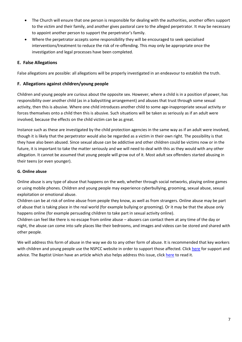- The Church will ensure that one person is responsible for dealing with the authorities, another offers support to the victim and their family, and another gives pastoral care to the alleged perpetrator. It may be necessary to appoint another person to support the perpetrator's family.
- Where the perpetrator accepts some responsibility they will be encouraged to seek specialised interventions/treatment to reduce the risk of re-offending. This may only be appropriate once the investigation and legal processes have been completed.

#### **E. False Allegations**

False allegations are possible: all allegations will be properly investigated in an endeavour to establish the truth.

#### **F. Allegations against children/young people**

Children and young people are curious about the opposite sex. However, where a child is in a position of power, has responsibility over another child (as in a babysitting arrangement) and abuses that trust through some sexual activity, then this is abusive. Where one child introduces another child to some age-inappropriate sexual activity or forces themselves onto a child then this is abusive. Such situations will be taken as seriously as if an adult were involved, because the effects on the child victim can be as great.

Instance such as these are investigated by the child protection agencies in the same way as if an adult were involved, though it is likely that the perpetrator would also be regarded as a victim in their own right. The possibility is that they have also been abused. Since sexual abuse can be addictive and other children could be victims now or in the future, it is important to take the matter seriously and we will need to deal with this as they would with any other allegation. It cannot be assumed that young people will grow out of it. Most adult sex offenders started abusing in their teens (or even younger).

#### **G. Online abuse**

Online abuse is any type of abuse that happens on the web, whether through social networks, playing online games or using mobile phones. Children and young people may experience cyberbullying, grooming, sexual abuse, sexual exploitation or emotional abuse.

Children can be at risk of online abuse from people they know, as well as from strangers. Online abuse may be part of abuse that is taking place in the real world (for example bullying or grooming). Or it may be that the abuse only happens online (for example persuading children to take part in sexual activity online).

Children can feel like there is no escape from online abuse – abusers can contact them at any time of the day or night, the abuse can come into safe places like their bedrooms, and images and videos can be stored and shared with other people.

We will address this form of abuse in the way we do to any other form of abuse. It is recommended that key workers with children and young people use the NSPCC website in order to support those affected. Click [here](https://www.nspcc.org.uk/preventing-abuse/child-abuse-and-neglect/online-abuse/) for support and advice. The Baptist Union have an article which also helps address this issue, click [here](https://www.baptist.org.uk/Articles/374152/Handling_the_cyber.aspx) to read it.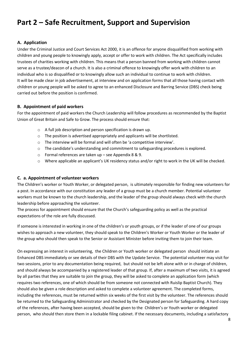# **Part 2 – Safe Recruitment, Support and Supervision**

#### **A. Application**

Under the Criminal Justice and Court Services Act 2000, it is an offence for anyone disqualified from working with children and young people to knowingly apply, accept or offer to work with children. The Act specifically includes trustees of charities working with children. This means that a person banned from working with children cannot serve as a trustee/deacon of a church. It is also a criminal offence to knowingly offer work with children to an individual who is so disqualified or to knowingly allow such an individual to continue to work with children. It will be made clear in job advertisement, at interview and on application forms that all those having contact with children or young people will be asked to agree to an enhanced Disclosure and Barring Service (DBS) check being carried out before the position is confirmed.

#### **B. Appointment of paid workers**

For the appointment of paid workers the Church Leadership will follow procedures as recommended by the Baptist Union of Great Britain and Safe to Grow. The process should ensure that:

- o A full job description and person specification is drawn up.
- o The position is advertised appropriately and applicants will be shortlisted.
- o The interview will be formal and will often be 'a competitive interview'.
- o The candidate's understanding and commitment to safeguarding procedures is explored.
- o Formal references are taken up see Appendix 8 & 9.
- o Where applicable an applicant's UK residency status and/or right to work in the UK will be checked.

#### **C. a. Appointment of volunteer workers**

The Children's worker or Youth Worker, or delegated person, is ultimately responsible for finding new volunteers for a post. In accordance with our constitution any leader of a group must be a church member. Potential volunteer workers must be known to the church leadership, and the leader of the group should always check with the church leadership before approaching the volunteer.

The process for appointment should ensure that the Church's safeguarding policy as well as the practical expectations of the role are fully discussed.

If someone is interested in working in one of the children's or youth groups, or if the leader of one of our groups wishes to approach a new volunteer, they should speak to the Children's Worker or Youth Worker or the leader of the group who should then speak to the Senior or Assistant Minister before inviting them to join their team.

On expressing an interest in volunteering, the Children or Youth worker or delegated person should initiate an Enhanced DBS immediately or see details of their DBS with the Update Service. The potential volunteer may visit for two sessions, prior to any documentation being required, but should not be left alone with or in charge of children, and should always be accompanied by a registered leader of that group. If, after a maximum of two visits, it is agreed by all parties that they are suitable to join the group, they will be asked to complete an application form (which requires two references, one of which should be from someone not connected with Ruislip Baptist Church). They should also be given a role description and asked to complete a volunteer agreement. The completed forms, including the references, must be returned within six weeks of the first visit by the volunteer. The references should be returned to the Safeguarding Administrator and checked by the Designated person for Safeguarding. A hard copy of the references, after having been accepted, should be given to the Children's or Youth worker or delegated person, who should then store them in a lockable filing cabinet. If the necessary documents, including a satisfactory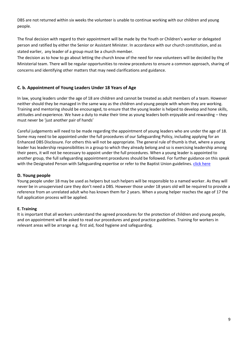DBS are not returned within six weeks the volunteer is unable to continue working with our children and young people.

The final decision with regard to their appointment will be made by the Youth or Children's worker or delegated person and ratified by either the Senior or Assistant Minister. In accordance with our church constitution, and as stated earlier, any leader of a group must be a church member.

The decision as to how to go about letting the church know of the need for new volunteers will be decided by the Ministerial team. There will be regular opportunities to review procedures to ensure a common approach, sharing of concerns and identifying other matters that may need clarifications and guidance.

#### **C. b. Appointment of Young Leaders Under 18 Years of Age**

In law, young leaders under the age of 18 are children and cannot be treated as adult members of a team. However neither should they be managed in the same way as the children and young people with whom they are working. Training and mentoring should be encouraged, to ensure that the young leader is helped to develop and hone skills, attitudes and experience. We have a duty to make their time as young leaders both enjoyable and rewarding – they must never be 'just another pair of hands'

Careful judgements will need to be made regarding the appointment of young leaders who are under the age of 18. Some may need to be appointed under the full procedures of our Safeguarding Policy, including applying for an Enhanced DBS Disclosure. For others this will not be appropriate. The general rule of thumb is that, where a young leader has leadership responsibilities in a group to which they already belong and so is exercising leadership among their peers, it will not be necessary to appoint under the full procedures. When a young leader is appointed to another group, the full safeguarding appointment procedures should be followed. For further guidance on this speak with the Designated Person with Safeguarding expertise or refer to the Baptist Union guidelines. *click here* 

#### **D. Young people**

Young people under 18 may be used as helpers but such helpers will be responsible to a named worker. As they will never be in unsupervised care they don't need a DBS. However those under 18 years old will be required to provide a reference from an unrelated adult who has known them for 2 years. When a young helper reaches the age of 17 the full application process will be applied.

#### **E. Training**

It is important that all workers understand the agreed procedures for the protection of children and young people, and on appointment will be asked to read our procedures and good practice guidelines. Training for workers in relevant areas will be arrange e.g. first aid, food hygiene and safeguarding.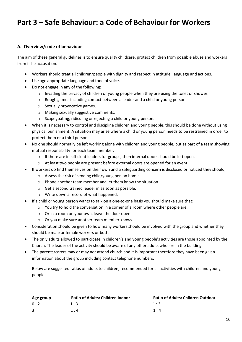# **Part 3 – Safe Behaviour: a Code of Behaviour for Workers**

#### **A. Overview/code of behaviour**

The aim of these general guidelines is to ensure quality childcare, protect children from possible abuse and workers from false accusation.

- Workers should treat all children/people with dignity and respect in attitude, language and actions.
- Use age appropriate language and tone of voice.
- Do not engage in any of the following:
	- o Invading the privacy of children or young people when they are using the toilet or shower.
	- o Rough games including contact between a leader and a child or young person.
	- o Sexually provocative games.
	- o Making sexually suggestive comments.
	- o Scapegoating, ridiculing or rejecting a child or young person.
- When it is necessary to control and discipline children and young people, this should be done without using physical punishment. A situation may arise where a child or young person needs to be restrained in order to protect them or a third person.
- No one should normally be left working alone with children and young people, but as part of a team showing mutual responsibility for each team member.
	- $\circ$  If there are insufficient leaders for groups, then internal doors should be left open.
	- o At least two people are present before external doors are opened for an event.
- If workers do find themselves on their own and a safeguarding concern is disclosed or noticed they should;
	- o Assess the risk of sending child/young person home.
	- o Phone another team member and let them know the situation.
	- o Get a second trained leader in as soon as possible.
	- o Write down a record of what happened.
- If a child or young person wants to talk on a one-to-one basis you should make sure that:
	- $\circ$  You try to hold the conversation in a corner of a room where other people are.
	- o Or in a room on your own, leave the door open.
	- o Or you make sure another team member knows.
- Consideration should be given to how many workers should be involved with the group and whether they should be male or female workers or both.
- The only adults allowed to participate in children's and young people's activities are those appointed by the Church. The leader of the activity should be aware of any other adults who are in the building.
- The parents/carers may or may not attend church and it is important therefore they have been given information about the group including contact telephone numbers.

Below are suggested ratios of adults to children, recommended for all activities with children and young people:

| Age group | <b>Ratio of Adults: Children Indoor</b> | <b>Ratio of Adults: Children Outdoor</b> |
|-----------|-----------------------------------------|------------------------------------------|
| $0 - 2$   | 1:3                                     | 1:3                                      |
|           | 1:4                                     | 1:4                                      |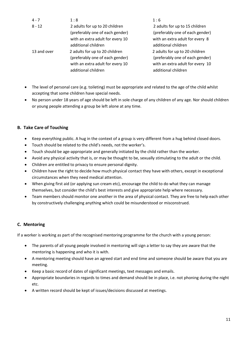| $4 - 7$     | 1:8                              | 1:6                              |
|-------------|----------------------------------|----------------------------------|
| $8 - 12$    | 2 adults for up to 20 children   | 2 adults for up to 15 children   |
|             | (preferably one of each gender)  | (preferably one of each gender)  |
|             | with an extra adult for every 10 | with an extra adult for every 8  |
|             | additional children              | additional children              |
| 13 and over | 2 adults for up to 20 children   | 2 adults for up to 20 children   |
|             | (preferably one of each gender)  | (preferably one of each gender)  |
|             | with an extra adult for every 10 | with an extra adult for every 10 |
|             | additional children              | additional children              |

- The level of personal care (e.g. toileting) must be appropriate and related to the age of the child whilst accepting that some children have special needs.
- No person under 18 years of age should be left in sole charge of any children of any age. Nor should children or young people attending a group be left alone at any time.

#### **B. Take Care of Touching**

- Keep everything public. A hug in the context of a group is very different from a hug behind closed doors.
- Touch should be related to the child's needs, not the worker's.
- Touch should be age-appropriate and generally initiated by the child rather than the worker.
- Avoid any physical activity that is, or may be thought to be, sexually stimulating to the adult or the child.
- Children are entitled to privacy to ensure personal dignity.
- Children have the right to decide how much physical contact they have with others, except in exceptional circumstances when they need medical attention.
- When giving first aid (or applying sun cream etc), encourage the child to do what they can manage themselves, but consider the child's best interests and give appropriate help where necessary.
- Team members should monitor one another in the area of physical contact. They are free to help each other by constructively challenging anything which could be misunderstood or misconstrued.

#### **C. Mentoring**

If a worker is working as part of the recognised mentoring programme for the church with a young person:

- The parents of all young people involved in mentoring will sign a letter to say they are aware that the mentoring is happening and who it is with.
- A mentoring meeting should have an agreed start and end time and someone should be aware that you are meeting.
- Keep a basic record of dates of significant meetings, text messages and emails.
- Appropriate boundaries in regards to times and demand should be in place, i.e. not phoning during the night etc.
- A written record should be kept of issues/decisions discussed at meetings.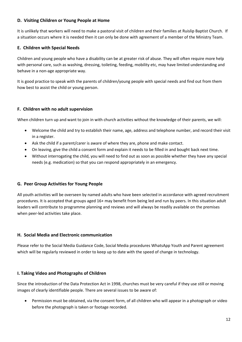#### **D. Visiting Children or Young People at Home**

It is unlikely that workers will need to make a pastoral visit of children and their families at Ruislip Baptist Church. If a situation occurs where it is needed then it can only be done with agreement of a member of the Ministry Team.

#### **E. Children with Special Needs**

Children and young people who have a disability can be at greater risk of abuse. They will often require more help with personal care, such as washing, dressing, toileting, feeding, mobility etc, may have limited understanding and behave in a non-age appropriate way.

It is good practice to speak with the parents of children/young people with special needs and find out from them how best to assist the child or young person.

#### **F. Children with no adult supervision**

When children turn up and want to join in with church activities without the knowledge of their parents, we will:

- Welcome the child and try to establish their name, age, address and telephone number, and record their visit in a register.
- Ask the child if a parent/carer is aware of where they are, phone and make contact.
- On leaving, give the child a consent form and explain it needs to be filled in and bought back next time.
- Without interrogating the child, you will need to find out as soon as possible whether they have any special needs (e.g. medication) so that you can respond appropriately in an emergency.

#### **G. Peer Group Activities for Young People**

All youth activities will be overseen by named adults who have been selected in accordance with agreed recruitment procedures. It is accepted that groups aged 16+ may benefit from being led and run by peers. In this situation adult leaders will contribute to programme planning and reviews and will always be readily available on the premises when peer-led activities take place.

#### **H. Social Media and Electronic communication**

Please refer to the Social Media Guidance Code, Social Media procedures WhatsApp Youth and Parent agreement which will be regularly reviewed in order to keep up to date with the speed of change in technology.

#### **I. Taking Video and Photographs of Children**

Since the introduction of the Data Protection Act in 1998, churches must be very careful if they use still or moving images of clearly identifiable people. There are several issues to be aware of:

• Permission must be obtained, via the consent form, of all children who will appear in a photograph or video before the photograph is taken or footage recorded.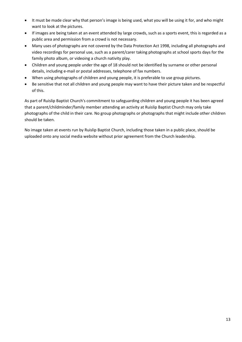- It must be made clear why that person's image is being used, what you will be using it for, and who might want to look at the pictures.
- If images are being taken at an event attended by large crowds, such as a sports event, this is regarded as a public area and permission from a crowd is not necessary.
- Many uses of photographs are not covered by the Data Protection Act 1998, including all photographs and video recordings for personal use, such as a parent/carer taking photographs at school sports days for the family photo album, or videoing a church nativity play.
- Children and young people under the age of 18 should not be identified by surname or other personal details, including e-mail or postal addresses, telephone of fax numbers.
- When using photographs of children and young people, it is preferable to use group pictures.
- Be sensitive that not all children and young people may want to have their picture taken and be respectful of this.

As part of Ruislip Baptist Church's commitment to safeguarding children and young people it has been agreed that a parent/childminder/family member attending an activity at Ruislip Baptist Church may only take photographs of the child in their care. No group photographs or photographs that might include other children should be taken.

No image taken at events run by Ruislip Baptist Church, including those taken in a public place, should be uploaded onto any social media website without prior agreement from the Church leadership.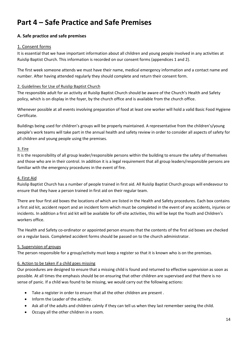# **Part 4 – Safe Practice and Safe Premises**

#### **A. Safe practice and safe premises**

#### 1. Consent forms

It is essential that we have important information about all children and young people involved in any activities at Ruislip Baptist Church. This information is recorded on our consent forms (appendices 1 and 2).

The first week someone attends we must have their name, medical emergency information and a contact name and number. After having attended regularly they should complete and return their consent form.

#### 2. Guidelines for Use of Ruislip Baptist Church

The responsible adult for an activity at Ruislip Baptist Church should be aware of the Church's Health and Safety policy, which is on display in the foyer, by the church office and is available from the church office.

Whenever possible at all events involving preparation of food at least one worker will hold a valid Basic Food Hygiene Certificate.

Buildings being used for children's groups will be properly maintained. A representative from the children's/young people's work teams will take part in the annual health and safety review in order to consider all aspects of safety for all children and young people using the premises.

#### 3. Fire

It is the responsibility of all group leader/responsible persons within the building to ensure the safety of themselves and those who are in their control. In addition it is a legal requirement that all group leaders/responsible persons are familiar with the emergency procedures in the event of fire.

#### 4. First Aid

Ruislip Baptist Church has a number of people trained in first aid. All Ruislip Baptist Church groups will endeavour to ensure that they have a person trained in first aid on their regular team.

There are four first aid boxes the locations of which are listed in the Health and Safety procedures. Each box contains a first aid kit, accident report and an incident form which must be completed in the event of any accidents, injuries or incidents. In addition a first aid kit will be available for off-site activities, this will be kept the Youth and Children's workers office.

The Health and Safety co-ordinator or appointed person ensures that the contents of the first aid boxes are checked on a regular basis. Completed accident forms should be passed on to the church administrator.

#### 5. Supervision of groups

The person responsible for a group/activity must keep a register so that it is known who is on the premises.

#### 6. Action to be taken if a child goes missing

Our procedures are designed to ensure that a missing child is found and returned to effective supervision as soon as possible. At all times the emphasis should be on ensuring that other children are supervised and that there is no sense of panic. If a child was found to be missing, we would carry out the following actions:

- Take a register in order to ensure that all the other children are present .
- Inform the Leader of the activity.
- Ask all of the adults and children calmly if they can tell us when they last remember seeing the child.
- Occupy all the other children in a room.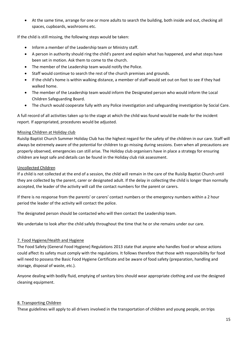• At the same time, arrange for one or more adults to search the building, both inside and out, checking all spaces, cupboards, washrooms etc.

If the child is still missing, the following steps would be taken:

- Inform a member of the Leadership team or Ministry staff.
- A person in authority should ring the child's parent and explain what has happened, and what steps have been set in motion. Ask them to come to the church.
- The member of the Leadership team would notify the Police.
- Staff would continue to search the rest of the church premises and grounds.
- If the child's home is within walking distance, a member of staff would set out on foot to see if they had walked home.
- The member of the Leadership team would inform the Designated person who would inform the Local Children Safeguarding Board.
- The church would cooperate fully with any Police investigation and safeguarding investigation by Social Care.

A full record of all activities taken up to the stage at which the child was found would be made for the incident report. If appropriated, procedures would be adjusted.

#### Missing Children at Holiday club

Ruislip Baptist Church Summer Holiday Club has the highest regard for the safety of the children in our care. Staff will always be extremely aware of the potential for children to go missing during sessions. Even when all precautions are properly observed, emergencies can still arise. The Holiday club organisers have in place a strategy for ensuring children are kept safe and details can be found in the Holiday club risk assessment.

#### Uncollected Children

If a child is not collected at the end of a session, the child will remain in the care of the Ruislip Baptist Church until they are collected by the parent, carer or designated adult. If the delay in collecting the child is longer than normally accepted, the leader of the activity will call the contact numbers for the parent or carers.

If there is no response from the parents' or carers' contact numbers or the emergency numbers within a 2 hour period the leader of the activity will contact the police.

The designated person should be contacted who will then contact the Leadership team.

We undertake to look after the child safely throughout the time that he or she remains under our care.

#### 7. Food Hygiene/Health and Hygiene

The Food Safety (General Food Hygiene) Regulations 2013 state that anyone who handles food or whose actions could affect its safety must comply with the regulations. It follows therefore that those with responsibility for food will need to possess the Basic Food Hygiene Certificate and be aware of food safety (preparation, handling and storage, disposal of waste, etc.).

Anyone dealing with bodily fluid, emptying of sanitary bins should wear appropriate clothing and use the designed cleaning equipment.

#### 8. Transporting Children

These guidelines will apply to all drivers involved in the transportation of children and young people, on trips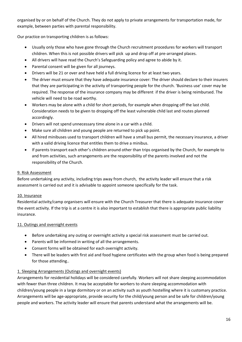organised by or on behalf of the Church. They do not apply to private arrangements for transportation made, for example, between parties with parental responsibility.

Our practice on transporting children is as follows:

- Usually only those who have gone through the Church recruitment procedures for workers will transport children. When this is not possible drivers will pick up and drop off at pre-arranged places.
- All drivers will have read the Church's Safeguarding policy and agree to abide by it.
- Parental consent will be given for all journeys.
- Drivers will be 21 or over and have held a full driving licence for at least two years.
- The driver must ensure that they have adequate insurance cover: The driver should declare to their insurers that they are participating in the activity of transporting people for the church. 'Business use' cover may be required. The response of the insurance company may be different if the driver is being reimbursed. The vehicle will need to be road worthy.
- Workers may be alone with a child for short periods, for example when dropping off the last child. Consideration needs to be given to dropping off the least vulnerable child last and routes planned accordingly.
- Drivers will not spend unnecessary time alone in a car with a child.
- Make sure all children and young people are returned to pick up point.
- All hired minibuses used to transport children will have a small bus permit, the necessary insurance, a driver with a valid driving licence that entitles them to drive a minibus.
- If parents transport each other's children around other than trips organised by the Church, for example to and from activities, such arrangements are the responsibility of the parents involved and not the responsibility of the Church.

#### 9. Risk Assessment

Before undertaking any activity, including trips away from church, the activity leader will ensure that a risk assessment is carried out and it is advisable to appoint someone specifically for the task.

#### 10. Insurance

Residential activity/camp organisers will ensure with the Church Treasurer that there is adequate insurance cover the event activity. If the trip is at a centre it is also important to establish that there is appropriate public liability insurance.

#### 11. Outings and overnight events

- Before undertaking any outing or overnight activity a special risk assessment must be carried out.
- Parents will be informed in writing of all the arrangements.
- Consent forms will be obtained for each overnight activity.
- There will be leaders with first aid and food hygiene certificates with the group when food is being prepared for those attending..

#### 1. Sleeping Arrangements (Outings and overnight events)

Arrangements for residential holidays will be considered carefully. Workers will not share sleeping accommodation with fewer than three children. It may be acceptable for workers to share sleeping accommodation with children/young people in a large dormitory or on an activity such as youth hostelling where it is customary practice. Arrangements will be age-appropriate, provide security for the child/young person and be safe for children/young people and workers. The activity leader will ensure that parents understand what the arrangements will be.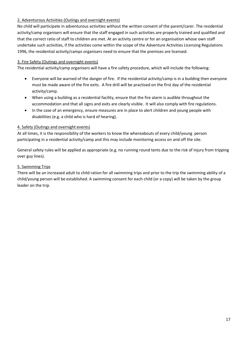#### 2. Adventurous Activities (Outings and overnight events)

No child will participate in adventurous activities without the written consent of the parent/carer. The residential activity/camp organisers will ensure that the staff engaged in such activities are properly trained and qualified and that the correct ratio of staff to children are met. At an activity centre or for an organisation whose own staff undertake such activities, if the activities come within the scope of the Adventure Activities Licensing Regulations 1996, the residential activity/camps organisers need to ensure that the premises are licensed.

#### 3. Fire Safety (Outings and overnight events)

The residential activity/camp organisers will have a fire safety procedure, which will include the following:

- Everyone will be warned of the danger of fire. If the residential activity/camp is in a building then everyone must be made aware of the fire exits. A fire drill will be practised on the first day of the residential activity/camp.
- When using a building as a residential facility, ensure that the fire alarm is audible throughout the accommodation and that all signs and exits are clearly visible. It will also comply with fire regulations.
- In the case of an emergency, ensure measures are in place to alert children and young people with disabilities (e.g. a child who is hard of hearing).

#### 4. Safety (Outings and overnight events)

At all times, it is the responsibility of the workers to know the whereabouts of every child/young person participating in a residential activity/camp and this may include monitoring access on and off the site.

General safety rules will be applied as appropriate (e.g. no running round tents due to the risk of injury from tripping over guy lines).

#### 5. Swimming Trips

There will be an increased adult to child ration for all swimming trips and prior to the trip the swimming ability of a child/young person will be established. A swimming consent for each child (or a copy) will be taken by the group leader on the trip.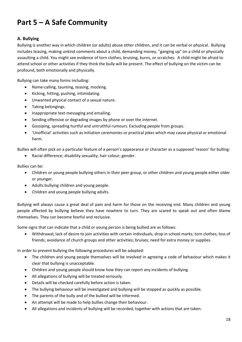# **Part 5 – A Safe Community**

#### **A. Bullying**

Bullying is another way in which children (or adults) abuse other children, and it can be verbal or physical. Bullying includes teasing, making unkind comments about a child, demanding money, "ganging up" on a child or physically assaulting a child. You might see evidence of torn clothes, bruising, burns, or scratches. A child might be afraid to attend school or other activities if they think the bully will be present. The effect of bullying on the victim can be profound, both emotionally and physically.

Bullying can take many forms including:

- Name-calling, taunting, teasing, mocking.
- Kicking, hitting, pushing, intimidating.
- Unwanted physical contact of a sexual nature.
- Taking belongings.
- Inappropriate text-messaging and emailing.
- Sending offensive or degrading images by phone or over the internet.
- Gossiping, spreading hurtful and untruthful rumours. Excluding people from groups.
- 'Unofficial' activities such as initiation ceremonies or practical jokes which may cause physical or emotional harm.

Bullies will often pick on a particular feature of a person's appearance or character as a supposed 'reason' for bulling:

• Racial difference; disability sexuality; hair colour; gender.

Bullies can be:

- Children or young people bullying others in their peer group, or other children and young people either older or younger.
- Adults bullying children and young people.
- Children and young people bullying adults.

Bullying will always cause a great deal of pain and harm for those on the receiving end. Many children and young people affected by bullying believe they have nowhere to turn. They are scared to speak out and often blame themselves. They can become fearful and reclusive.

Some signs that can indicate that a child or young person is being bullied are as follows:

• Withdrawal; lack of desire to join activities with certain individuals; drop in school marks; torn clothes; loss of friends; avoidance of church groups and other activities; bruises; need for extra money or supplies.

In order to prevent bullying the following procedures will be adopted:

- The children and young people themselves will be involved in agreeing a code of behaviour which makes it clear that bullying is unacceptable.
- Children and young people should know how they can report any incidents of bullying.
- All allegations of bullying will be treated seriously.
- Details will be checked carefully before action is taken.
- The bullying behaviour will be investigated and bullying will be stopped as quickly as possible.
- The parents of the bully and of the bullied will be informed.
- An attempt will be made to help bullies change their behaviour.
- All allegations and incidents of bullying will be recorded, together with actions that are taken.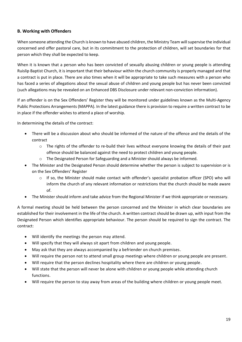#### **B. Working with Offenders**

When someone attending the Church is known to have abused children, the Ministry Team will supervise the individual concerned and offer pastoral care, but in its commitment to the protection of children, will set boundaries for that person which they shall be expected to keep.

When it is known that a person who has been convicted of sexually abusing children or young people is attending Ruislip Baptist Church, it is important that their behaviour within the church community is properly managed and that a contract is put in place. There are also times when it will be appropriate to take such measures with a person who has faced a series of allegations about the sexual abuse of children and young people but has never been convicted (such allegations may be revealed on an Enhanced DBS Disclosure under relevant non-conviction information).

If an offender is on the Sex Offenders' Register they will be monitored under guidelines known as the Multi-Agency Public Protections Arrangements (MAPPA). In the latest guidance there is provision to require a written contract to be in place if the offender wishes to attend a place of worship.

In determining the details of the contract:

- There will be a discussion about who should be informed of the nature of the offence and the details of the contract
	- $\circ$  The rights of the offender to re-build their lives without everyone knowing the details of their past offence should be balanced against the need to protect children and young people.
	- o The Designated Person for Safeguarding and a Minister should always be informed.
- The Minister and the Designated Person should determine whether the person is subject to supervision or is on the Sex Offenders' Register
	- o If so, the Minister should make contact with offender's specialist probation officer (SPO) who will inform the church of any relevant information or restrictions that the church should be made aware of.
- The Minister should inform and take advice from the Regional Minister if we think appropriate or necessary.

A formal meeting should be held between the person concerned and the Minister in which clear boundaries are established for their involvement in the life of the church. A written contract should be drawn up, with input from the Designated Person which identifies appropriate behaviour. The person should be required to sign the contract. The contract:

- Will identify the meetings the person may attend.
- Will specify that they will always sit apart from children and young people.
- May ask that they are always accompanied by a befriender on church premises.
- Will require the person not to attend small group meetings where children or young people are present.
- Will require that the person declines hospitality where there are children or young people.
- Will state that the person will never be alone with children or young people while attending church functions.
- Will require the person to stay away from areas of the building where children or young people meet.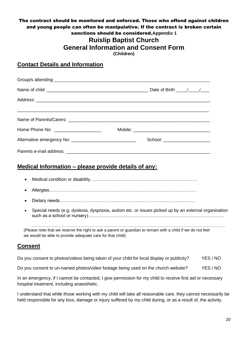# The contract should be monitored and enforced. Those who offend against children and young people can often be manipulative. If the contract is broken certain sanctions should be considered.**Appendix 1 Ruislip Baptist Church**

**General Information and Consent Form**

**(Children)**

## **Contact Details and Information**

| <u> Alexandro de la contrada de la contrada de la contrada de la contrada de la contrada de la contrada de la con</u> |                                 |  |
|-----------------------------------------------------------------------------------------------------------------------|---------------------------------|--|
| Home Phone No: ______________________                                                                                 |                                 |  |
|                                                                                                                       | School: _______________________ |  |
|                                                                                                                       |                                 |  |

# **Medical Information – please provide details of any:**

- Medical condition or disability………………………………………………………………
- Allergies………………………………………………………………………………………
- Dietary needs……………………………………………………………………………….
- Special needs (e.g. dyslexia, dyspraxia, autism etc. or issues picked up by an external organisation such as a school or nursery)……………………………………………………………………………….

 $\mathcal{L}_{\mathcal{M}}$  . The contract of the contract of the contract of the contract of the contract of the contract of the contract of the contract of the contract of the contract of the contract of the contract of the contract (Please note that we reserve the right to ask a parent or guardian to remain with a child if we do not feel we would be able to provide adequate care for that child)

# **Consent**

Do you consent to photos/videos being taken of your child for local display or publicity? YES / NO

Do you consent to un-named photos/video footage being used on the church website? YES / NO

In an emergency, if I cannot be contacted, I give permission for my child to receive first aid or necessary hospital treatment, including anaesthetic.

I understand that while those working with my child will take all reasonable care, they cannot necessarily be held responsible for any loss, damage or injury suffered by my child during, or as a result of, the activity.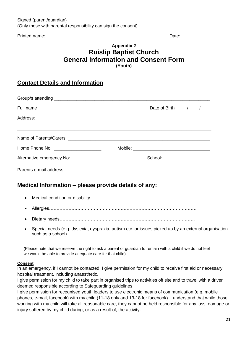Printed name: example and the set of the set of the set of the set of the set of the set of the set of the set of the set of the set of the set of the set of the set of the set of the set of the set of the set of the set o

# **Appendix 2 Ruislip Baptist Church General Information and Consent Form (Youth)**

# **Contact Details and Information**

| Full name |                                |  |
|-----------|--------------------------------|--|
|           |                                |  |
|           |                                |  |
|           |                                |  |
|           | School: ______________________ |  |
|           |                                |  |

# **Medical Information – please provide details of any:**

- Medical condition or disability………………………………………………………………
- Allergies………………………………………………………………………………………
- Dietary needs……………………………………………………………………………….
- Special needs (e.g. dyslexia, dyspraxia, autism etc. or issues picked up by an external organisation such as a school)…………………………………………………………………………….

(Please note that we reserve the right to ask a parent or guardian to remain with a child if we do not feel we would be able to provide adequate care for that child)

#### **Consent**

In an emergency, if I cannot be contacted, I give permission for my child to receive first aid or necessary hospital treatment, including anaesthetic.

I give permission for my child to take part in organised trips to activities off site and to travel with a driver deemed responsible according to Safeguarding guidelines.

I give permission for recognised youth leaders to use electronic means of communication (e.g. mobile phones, e-mail, facebook) with my child (11-18 only and 13-18 for facebook) .I understand that while those working with my child will take all reasonable care, they cannot be held responsible for any loss, damage or injury suffered by my child during, or as a result of, the activity.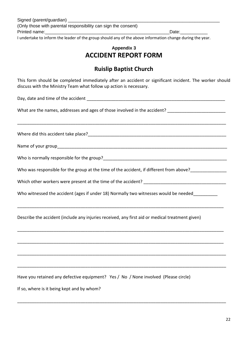I undertake to inform the leader of the group should any of the above information change during the year.

## **Appendix 3 ACCIDENT REPORT FORM**

# **Ruislip Baptist Church**

This form should be completed immediately after an accident or significant incident. The worker should discuss with the Ministry Team what follow up action is necessary.

\_\_\_\_\_\_\_\_\_\_\_\_\_\_\_\_\_\_\_\_\_\_\_\_\_\_\_\_\_\_\_\_\_\_\_\_\_\_\_\_\_\_\_\_\_\_\_\_\_\_\_\_\_\_\_\_\_\_\_\_\_\_\_\_\_\_\_\_\_\_\_\_\_\_\_\_\_\_\_\_\_\_\_\_\_\_

Day, date and time of the accident **Example 20** 

What are the names, addresses and ages of those involved in the accident? \_\_\_\_\_\_\_\_\_\_\_\_\_\_\_\_\_\_\_\_\_\_\_\_

Where did this accident take place? Where  $\frac{1}{2}$ 

Name of your group\_\_\_\_\_\_\_\_\_\_\_\_\_\_\_\_\_\_\_\_\_\_\_\_\_\_\_\_\_\_\_\_\_\_\_\_\_\_\_\_\_\_\_\_\_\_\_\_\_\_\_\_\_\_\_\_\_\_\_\_\_\_\_\_\_\_\_\_\_\_

Who is normally responsible for the group?

Who was responsible for the group at the time of the accident, if different from above?

Which other workers were present at the time of the accident?

Who witnessed the accident (ages if under 18) Normally two witnesses would be needed

\_\_\_\_\_\_\_\_\_\_\_\_\_\_\_\_\_\_\_\_\_\_\_\_\_\_\_\_\_\_\_\_\_\_\_\_\_\_\_\_\_\_\_\_\_\_\_\_\_\_\_\_\_\_\_\_\_\_\_\_\_\_\_\_\_\_\_\_\_\_\_\_\_\_\_\_\_\_\_\_\_\_\_\_\_

\_\_\_\_\_\_\_\_\_\_\_\_\_\_\_\_\_\_\_\_\_\_\_\_\_\_\_\_\_\_\_\_\_\_\_\_\_\_\_\_\_\_\_\_\_\_\_\_\_\_\_\_\_\_\_\_\_\_\_\_\_\_\_\_\_\_\_\_\_\_\_\_\_\_\_\_\_\_\_\_\_\_\_\_\_

\_\_\_\_\_\_\_\_\_\_\_\_\_\_\_\_\_\_\_\_\_\_\_\_\_\_\_\_\_\_\_\_\_\_\_\_\_\_\_\_\_\_\_\_\_\_\_\_\_\_\_\_\_\_\_\_\_\_\_\_\_\_\_\_\_\_\_\_\_\_\_\_\_\_\_\_\_\_\_\_\_\_\_\_\_

\_\_\_\_\_\_\_\_\_\_\_\_\_\_\_\_\_\_\_\_\_\_\_\_\_\_\_\_\_\_\_\_\_\_\_\_\_\_\_\_\_\_\_\_\_\_\_\_\_\_\_\_\_\_\_\_\_\_\_\_\_\_\_\_\_\_\_\_\_\_\_\_\_\_\_\_\_\_\_\_\_\_\_\_\_\_

\_\_\_\_\_\_\_\_\_\_\_\_\_\_\_\_\_\_\_\_\_\_\_\_\_\_\_\_\_\_\_\_\_\_\_\_\_\_\_\_\_\_\_\_\_\_\_\_\_\_\_\_\_\_\_\_\_\_\_\_\_\_\_\_\_\_\_\_\_\_\_\_\_\_\_\_\_\_\_\_\_\_\_\_\_\_

\_\_\_\_\_\_\_\_\_\_\_\_\_\_\_\_\_\_\_\_\_\_\_\_\_\_\_\_\_\_\_\_\_\_\_\_\_\_\_\_\_\_\_\_\_\_\_\_\_\_\_\_\_\_\_\_\_\_\_\_\_\_\_\_\_\_\_\_\_\_\_\_\_\_\_\_\_\_\_\_\_\_\_\_\_\_

Describe the accident (include any injuries received, any first aid or medical treatment given)

Have you retained any defective equipment? Yes / No / None involved (Please circle)

If so, where is it being kept and by whom?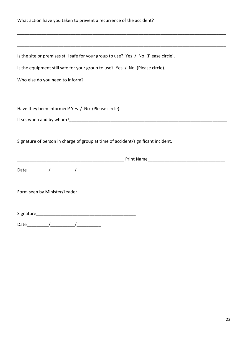| What action have you taken to prevent a recurrence of the accident?                 |  |  |
|-------------------------------------------------------------------------------------|--|--|
|                                                                                     |  |  |
| Is the site or premises still safe for your group to use? Yes / No (Please circle). |  |  |
| Is the equipment still safe for your group to use? Yes / No (Please circle).        |  |  |
| Who else do you need to inform?                                                     |  |  |
| Have they been informed? Yes / No (Please circle).                                  |  |  |
|                                                                                     |  |  |
| Signature of person in charge of group at time of accident/significant incident.    |  |  |
|                                                                                     |  |  |
|                                                                                     |  |  |
| Form seen by Minister/Leader                                                        |  |  |
|                                                                                     |  |  |
| Date                                                                                |  |  |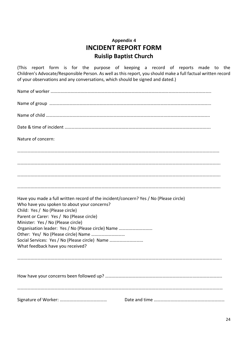# **Appendix 4 INCIDENT REPORT FORM Ruislip Baptist Church**

(This report form is for the purpose of keeping a record of reports made to the Children's Advocate/Responsible Person. As well as this report, you should make a full factual written record of your observations and any conversations, which should be signed and dated.)

| Nature of concern:                                                                                                                                                      |  |
|-------------------------------------------------------------------------------------------------------------------------------------------------------------------------|--|
|                                                                                                                                                                         |  |
|                                                                                                                                                                         |  |
|                                                                                                                                                                         |  |
|                                                                                                                                                                         |  |
| Have you made a full written record of the incident/concern? Yes / No (Please circle)<br>Who have you spoken to about your concerns?<br>Child: Yes / No (Please circle) |  |
| Parent or Carer: Yes / No (Please circle)                                                                                                                               |  |
| Minister: Yes / No (Please circle)                                                                                                                                      |  |
| Organisation leader: Yes / No (Please circle) Name                                                                                                                      |  |
|                                                                                                                                                                         |  |
| Social Services: Yes / No (Please circle) Name<br>What feedback have you received?                                                                                      |  |
|                                                                                                                                                                         |  |
|                                                                                                                                                                         |  |
|                                                                                                                                                                         |  |
|                                                                                                                                                                         |  |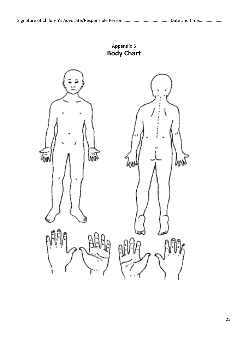**Appendix 5 Body Chart**

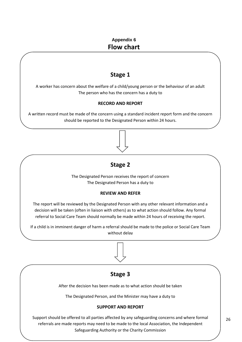# **Appendix 6 Flow chart**

# **Stage 1**

A worker has concern about the welfare of a child/young person or the behaviour of an adult The person who has the concern has a duty to

#### **RECORD AND REPORT**

A written record must be made of the concern using a standard incident report form and the concern should be reported to the Designated Person within 24 hours.

If a child is in imminister of harm a referred showledge of the police of  $\Box$ without delay.



The Designated Person receives the report of concern The Designated Person has a duty to

#### **REVIEW AND REFER**

The report will be reviewed by the Designated Person with any other relevant information and a decision will be taken (often in liaison with others) as to what action should follow. Any formal referral to Social Care Team should normally be made within 24 hours of receiving the report.

If a child is in imminent danger of harm a referral should be made to the police or Social Care Team without delay

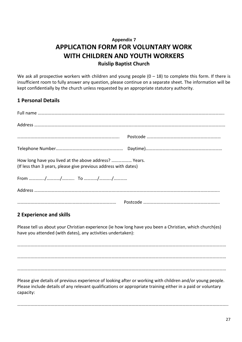# **Appendix 7 APPLICATION FORM FOR VOLUNTARY WORK WITH CHILDREN AND YOUTH WORKERS Ruislip Baptist Church**

We ask all prospective workers with children and young people  $(0 - 18)$  to complete this form. If there is insufficient room to fully answer any question, please continue on a separate sheet. The information will be kept confidentially by the church unless requested by an appropriate statutory authority.

## **1 Personal Details**

| How long have you lived at the above address?  Years.<br>(If less than 3 years, please give previous address with dates)                                                                                                              |
|---------------------------------------------------------------------------------------------------------------------------------------------------------------------------------------------------------------------------------------|
|                                                                                                                                                                                                                                       |
|                                                                                                                                                                                                                                       |
|                                                                                                                                                                                                                                       |
| <b>2 Experience and skills</b>                                                                                                                                                                                                        |
| Please tell us about your Christian experience (ie how long have you been a Christian, which church(es)<br>have you attended (with dates), any activities undertaken):                                                                |
|                                                                                                                                                                                                                                       |
|                                                                                                                                                                                                                                       |
| Please give details of previous experience of looking after or working with children and/or young people.<br>Please include details of any relevant qualifications or appropriate training either in a paid or voluntary<br>capacity: |

……………………………………………………………………………………………………………………………………………………………………..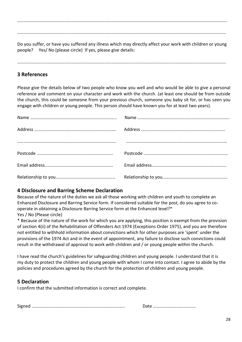……………………………………………………………………………………………………………………………………………………………………. ……………………………………………………………………………………………………………………………………………………………………

Do you suffer, or have you suffered any illness which may directly affect your work with children or young people? Yes/ No (please circle) If yes, please give details:

……………………………………………………………………………………………………………………………………………………………………

## **3 References**

Please give the details below of two people who know you well and who would be able to give a personal reference and comment on your character and work with the church. (at least one should be from outside the church, this could be someone from your previous church, someone you baby sit for, or has seen you engage with children or young people. This person should have known you for at least two years).

#### **4 Disclosure and Barring Scheme Declaration**

Because of the nature of the duties we ask all those working with children and youth to complete an Enhanced Disclosure and Barring Service form. If considered suitable for the post, do you agree to cooperate in obtaining a Disclosure Barring Service form at the Enhanced level?\* Yes / No (Please circle)

\* Because of the nature of the work for which you are applying, this position is exempt from the provision of section 4(ii) of the Rehabilitation of Offenders Act 1974 (Exceptions Order 1975), and you are therefore not entitled to withhold information about convictions which for other purposes are 'spent' under the provisions of the 1974 Act and in the event of appointment, any failure to disclose such convictions could result in the withdrawal of approval to work with children and / or young people within the church.

I have read the church's guidelines for safeguarding children and young people. I understand that it is my duty to protect the children and young people with whom I come into contact. I agree to abide by the policies and procedures agreed by the church for the protection of children and young people.

### **5 Declaration**

I confirm that the submitted information is correct and complete.

Signed ……………………………………………………………………….. Date ………………………………..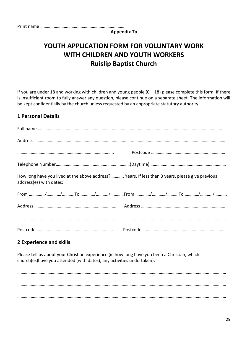|--|--|

**Appendix 7a**

# **YOUTH APPLICATION FORM FOR VOLUNTARY WORK WITH CHILDREN AND YOUTH WORKERS Ruislip Baptist Church**

If you are under 18 and working with children and young people  $(0 - 18)$  please complete this form. If there is insufficient room to fully answer any question, please continue on a separate sheet. The information will be kept confidentially by the church unless requested by an appropriate statutory authority.

## **1 Personal Details**

| How long have you lived at the above address?  Years. If less than 3 years, please give previous<br>address(es) with dates: |  |
|-----------------------------------------------------------------------------------------------------------------------------|--|
|                                                                                                                             |  |
|                                                                                                                             |  |
|                                                                                                                             |  |
|                                                                                                                             |  |

## **2 Experience and skills**

Please tell us about your Christian experience (ie how long have you been a Christian, which church(es)have you attended (with dates), any activities undertaken):

…………………………………………………………………………………………………………………………………………………………………… …………………………………………………………………………………………………………………………………………………………………… ……………………………………………………………………………………………………………………………………………………………………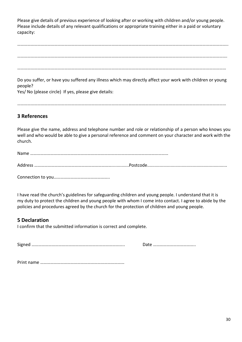Please give details of previous experience of looking after or working with children and/or young people. Please include details of any relevant qualifications or appropriate training either in a paid or voluntary capacity:

……………………………………………………………………………………………………………………………………………………………………..

…………………………………………………………………………………………………………………………………………………………………….

……………………………………………………………………………………………………………………………………………………………………

Do you suffer, or have you suffered any illness which may directly affect your work with children or young people?

Yes/ No (please circle) If yes, please give details:

……………………………………………………………………………………………………………………………………………………………………

## **3 References**

Please give the name, address and telephone number and role or relationship of a person who knows you well and who would be able to give a personal reference and comment on your character and work with the church.

| Address …………………………………………………………………………Postcode…………………………………………………………… |  |
|---------------------------------------------------------------------|--|

Connection to you…………………………………………..

I have read the church's guidelines for safeguarding children and young people. I understand that it is my duty to protect the children and young people with whom I come into contact. I agree to abide by the policies and procedures agreed by the church for the protection of children and young people.

### **5 Declaration**

I confirm that the submitted information is correct and complete.

Signed ……………………………………………………………………….. Date ………………………………..

Print name …………………………………………………………………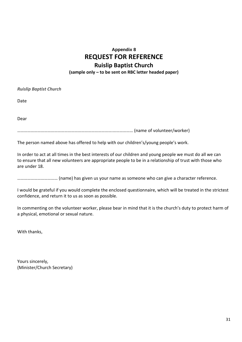# **Appendix 8 REQUEST FOR REFERENCE Ruislip Baptist Church (sample only – to be sent on RBC letter headed paper)**

*Ruislip Baptist Church*

Date

Dear

………………………………………………………………………….……………… (name of volunteer/worker)

The person named above has offered to help with our children's/young people's work.

In order to act at all times in the best interests of our children and young people we must do all we can to ensure that all new volunteers are appropriate people to be in a relationship of trust with those who are under 18.

……………………………… (name) has given us your name as someone who can give a character reference.

I would be grateful if you would complete the enclosed questionnaire, which will be treated in the strictest confidence, and return it to us as soon as possible.

In commenting on the volunteer worker, please bear in mind that it is the church's duty to protect harm of a physical, emotional or sexual nature.

With thanks,

Yours sincerely, (Minister/Church Secretary)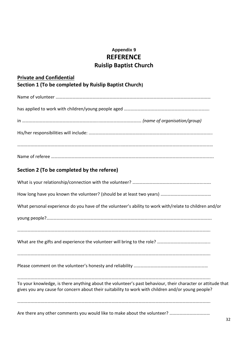# **Appendix 9 REFERENCE Ruislip Baptist Church**

| <b>Private and Confidential</b>                                                                                                                                                                                   |
|-------------------------------------------------------------------------------------------------------------------------------------------------------------------------------------------------------------------|
| Section 1 (To be completed by Ruislip Baptist Church)                                                                                                                                                             |
|                                                                                                                                                                                                                   |
|                                                                                                                                                                                                                   |
|                                                                                                                                                                                                                   |
|                                                                                                                                                                                                                   |
|                                                                                                                                                                                                                   |
| Section 2 (To be completed by the referee)                                                                                                                                                                        |
|                                                                                                                                                                                                                   |
|                                                                                                                                                                                                                   |
| What personal experience do you have of the volunteer's ability to work with/relate to children and/or                                                                                                            |
|                                                                                                                                                                                                                   |
|                                                                                                                                                                                                                   |
|                                                                                                                                                                                                                   |
|                                                                                                                                                                                                                   |
| To your knowledge, is there anything about the volunteer's past behaviour, their character or attitude that<br>gives you any cause for concern about their suitability to work with children and/or young people? |
|                                                                                                                                                                                                                   |